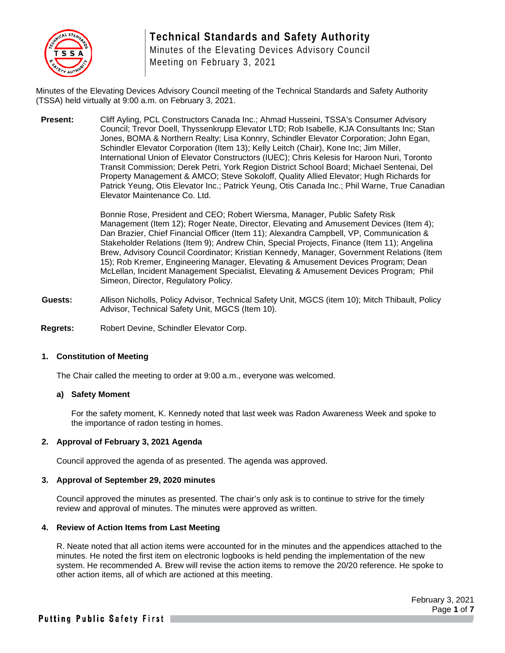

## **Technical Standards and Safety Authority** Minutes of the Elevating Devices Advisory Council

Meeting on February 3, 2021

Minutes of the Elevating Devices Advisory Council meeting of the Technical Standards and Safety Authority (TSSA) held virtually at 9:00 a.m. on February 3, 2021.

**Present:** Cliff Ayling, PCL Constructors Canada Inc.; Ahmad Husseini, TSSA's Consumer Advisory Council; Trevor Doell, Thyssenkrupp Elevator LTD; Rob Isabelle, KJA Consultants Inc; Stan Jones, BOMA & Northern Realty; Lisa Konnry, Schindler Elevator Corporation; John Egan, Schindler Elevator Corporation (Item 13); Kelly Leitch (Chair), Kone Inc; Jim Miller, International Union of Elevator Constructors (IUEC); Chris Kelesis for Haroon Nuri, Toronto Transit Commission; Derek Petri, York Region District School Board; Michael Sentenai, Del Property Management & AMCO; Steve Sokoloff, Quality Allied Elevator; Hugh Richards for Patrick Yeung, Otis Elevator Inc.; Patrick Yeung, Otis Canada Inc.; Phil Warne, True Canadian Elevator Maintenance Co. Ltd.

> Bonnie Rose, President and CEO; Robert Wiersma, Manager, Public Safety Risk Management (Item 12); Roger Neate, Director, Elevating and Amusement Devices (Item 4); Dan Brazier, Chief Financial Officer (Item 11); Alexandra Campbell, VP, Communication & Stakeholder Relations (Item 9); Andrew Chin, Special Projects, Finance (Item 11); Angelina Brew, Advisory Council Coordinator; Kristian Kennedy, Manager, Government Relations (Item 15); Rob Kremer, Engineering Manager, Elevating & Amusement Devices Program; Dean McLellan, Incident Management Specialist, Elevating & Amusement Devices Program; Phil Simeon, Director, Regulatory Policy.

- **Guests:** Allison Nicholls, Policy Advisor, Technical Safety Unit, MGCS (item 10); Mitch Thibault, Policy Advisor, Technical Safety Unit, MGCS (Item 10).
- **Regrets:** Robert Devine, Schindler Elevator Corp.

#### **1. Constitution of Meeting**

The Chair called the meeting to order at 9:00 a.m., everyone was welcomed.

#### **a) Safety Moment**

For the safety moment, K. Kennedy noted that last week was Radon Awareness Week and spoke to the importance of radon testing in homes.

#### **2. Approval of February 3, 2021 Agenda**

Council approved the agenda of as presented. The agenda was approved.

#### **3. Approval of September 29, 2020 minutes**

Council approved the minutes as presented. The chair's only ask is to continue to strive for the timely review and approval of minutes. The minutes were approved as written.

#### **4. Review of Action Items from Last Meeting**

R. Neate noted that all action items were accounted for in the minutes and the appendices attached to the minutes. He noted the first item on electronic logbooks is held pending the implementation of the new system. He recommended A. Brew will revise the action items to remove the 20/20 reference. He spoke to other action items, all of which are actioned at this meeting.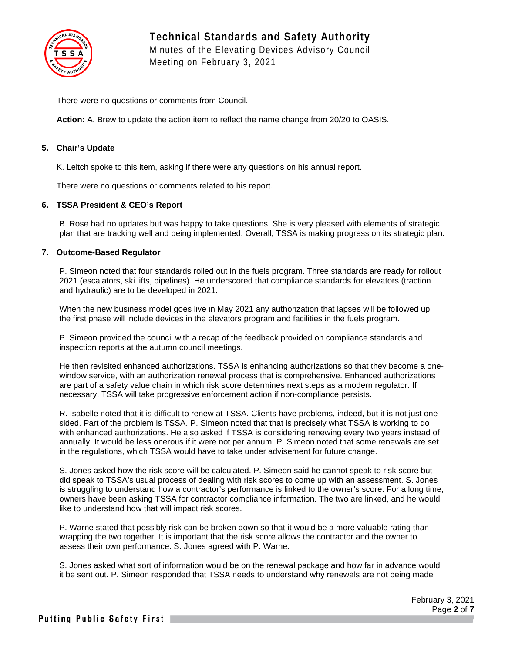

There were no questions or comments from Council.

**Action:** A. Brew to update the action item to reflect the name change from 20/20 to OASIS.

#### **5. Chair's Update**

K. Leitch spoke to this item, asking if there were any questions on his annual report.

There were no questions or comments related to his report.

#### **6. TSSA President & CEO's Report**

B. Rose had no updates but was happy to take questions. She is very pleased with elements of strategic plan that are tracking well and being implemented. Overall, TSSA is making progress on its strategic plan.

#### **7. Outcome-Based Regulator**

P. Simeon noted that four standards rolled out in the fuels program. Three standards are ready for rollout 2021 (escalators, ski lifts, pipelines). He underscored that compliance standards for elevators (traction and hydraulic) are to be developed in 2021.

When the new business model goes live in May 2021 any authorization that lapses will be followed up the first phase will include devices in the elevators program and facilities in the fuels program.

P. Simeon provided the council with a recap of the feedback provided on compliance standards and inspection reports at the autumn council meetings.

He then revisited enhanced authorizations. TSSA is enhancing authorizations so that they become a onewindow service, with an authorization renewal process that is comprehensive. Enhanced authorizations are part of a safety value chain in which risk score determines next steps as a modern regulator. If necessary, TSSA will take progressive enforcement action if non-compliance persists.

R. Isabelle noted that it is difficult to renew at TSSA. Clients have problems, indeed, but it is not just onesided. Part of the problem is TSSA. P. Simeon noted that that is precisely what TSSA is working to do with enhanced authorizations. He also asked if TSSA is considering renewing every two years instead of annually. It would be less onerous if it were not per annum. P. Simeon noted that some renewals are set in the regulations, which TSSA would have to take under advisement for future change.

S. Jones asked how the risk score will be calculated. P. Simeon said he cannot speak to risk score but did speak to TSSA's usual process of dealing with risk scores to come up with an assessment. S. Jones is struggling to understand how a contractor's performance is linked to the owner's score. For a long time, owners have been asking TSSA for contractor compliance information. The two are linked, and he would like to understand how that will impact risk scores.

P. Warne stated that possibly risk can be broken down so that it would be a more valuable rating than wrapping the two together. It is important that the risk score allows the contractor and the owner to assess their own performance. S. Jones agreed with P. Warne.

S. Jones asked what sort of information would be on the renewal package and how far in advance would it be sent out. P. Simeon responded that TSSA needs to understand why renewals are not being made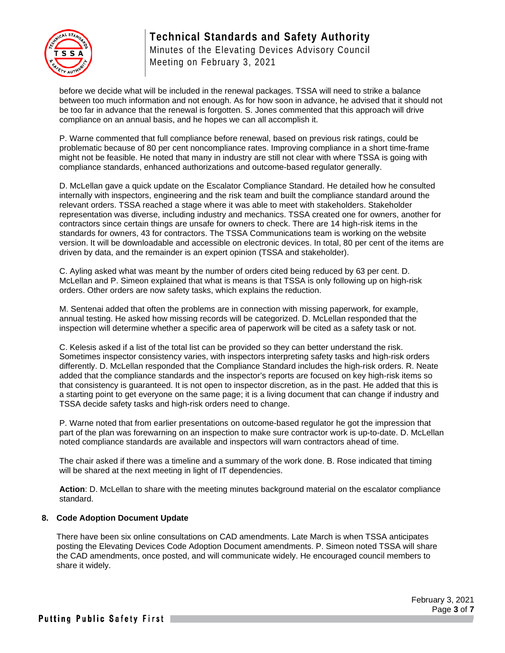

before we decide what will be included in the renewal packages. TSSA will need to strike a balance between too much information and not enough. As for how soon in advance, he advised that it should not be too far in advance that the renewal is forgotten. S. Jones commented that this approach will drive compliance on an annual basis, and he hopes we can all accomplish it.

P. Warne commented that full compliance before renewal, based on previous risk ratings, could be problematic because of 80 per cent noncompliance rates. Improving compliance in a short time-frame might not be feasible. He noted that many in industry are still not clear with where TSSA is going with compliance standards, enhanced authorizations and outcome-based regulator generally.

D. McLellan gave a quick update on the Escalator Compliance Standard. He detailed how he consulted internally with inspectors, engineering and the risk team and built the compliance standard around the relevant orders. TSSA reached a stage where it was able to meet with stakeholders. Stakeholder representation was diverse, including industry and mechanics. TSSA created one for owners, another for contractors since certain things are unsafe for owners to check. There are 14 high-risk items in the standards for owners, 43 for contractors. The TSSA Communications team is working on the website version. It will be downloadable and accessible on electronic devices. In total, 80 per cent of the items are driven by data, and the remainder is an expert opinion (TSSA and stakeholder).

C. Ayling asked what was meant by the number of orders cited being reduced by 63 per cent. D. McLellan and P. Simeon explained that what is means is that TSSA is only following up on high-risk orders. Other orders are now safety tasks, which explains the reduction.

M. Sentenai added that often the problems are in connection with missing paperwork, for example, annual testing. He asked how missing records will be categorized. D. McLellan responded that the inspection will determine whether a specific area of paperwork will be cited as a safety task or not.

C. Kelesis asked if a list of the total list can be provided so they can better understand the risk. Sometimes inspector consistency varies, with inspectors interpreting safety tasks and high-risk orders differently. D. McLellan responded that the Compliance Standard includes the high-risk orders. R. Neate added that the compliance standards and the inspector's reports are focused on key high-risk items so that consistency is guaranteed. It is not open to inspector discretion, as in the past. He added that this is a starting point to get everyone on the same page; it is a living document that can change if industry and TSSA decide safety tasks and high-risk orders need to change.

P. Warne noted that from earlier presentations on outcome-based regulator he got the impression that part of the plan was forewarning on an inspection to make sure contractor work is up-to-date. D. McLellan noted compliance standards are available and inspectors will warn contractors ahead of time.

The chair asked if there was a timeline and a summary of the work done. B. Rose indicated that timing will be shared at the next meeting in light of IT dependencies.

**Action**: D. McLellan to share with the meeting minutes background material on the escalator compliance standard.

#### **8. Code Adoption Document Update**

There have been six online consultations on CAD amendments. Late March is when TSSA anticipates posting the Elevating Devices Code Adoption Document amendments. P. Simeon noted TSSA will share the CAD amendments, once posted, and will communicate widely. He encouraged council members to share it widely.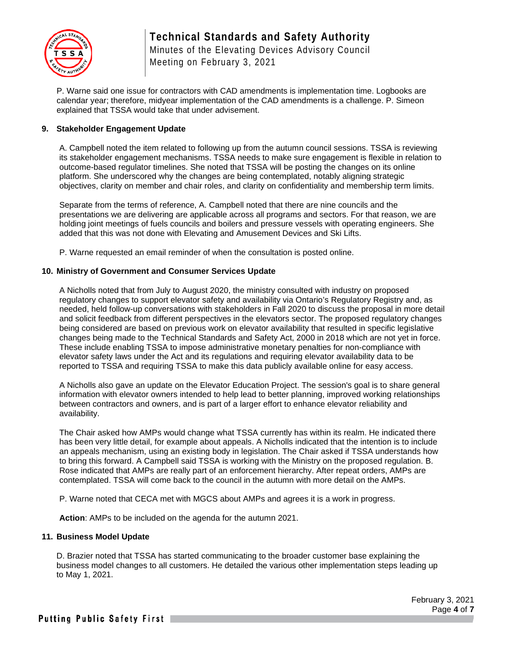

P. Warne said one issue for contractors with CAD amendments is implementation time. Logbooks are calendar year; therefore, midyear implementation of the CAD amendments is a challenge. P. Simeon explained that TSSA would take that under advisement.

#### **9. Stakeholder Engagement Update**

A. Campbell noted the item related to following up from the autumn council sessions. TSSA is reviewing its stakeholder engagement mechanisms. TSSA needs to make sure engagement is flexible in relation to outcome-based regulator timelines. She noted that TSSA will be posting the changes on its online platform. She underscored why the changes are being contemplated, notably aligning strategic objectives, clarity on member and chair roles, and clarity on confidentiality and membership term limits.

Separate from the terms of reference, A. Campbell noted that there are nine councils and the presentations we are delivering are applicable across all programs and sectors. For that reason, we are holding joint meetings of fuels councils and boilers and pressure vessels with operating engineers. She added that this was not done with Elevating and Amusement Devices and Ski Lifts.

P. Warne requested an email reminder of when the consultation is posted online.

#### **10. Ministry of Government and Consumer Services Update**

A Nicholls noted that from July to August 2020, the ministry consulted with industry on proposed regulatory changes to support elevator safety and availability via Ontario's Regulatory Registry and, as needed, held follow-up conversations with stakeholders in Fall 2020 to discuss the proposal in more detail and solicit feedback from different perspectives in the elevators sector. The proposed regulatory changes being considered are based on previous work on elevator availability that resulted in specific legislative changes being made to the Technical Standards and Safety Act, 2000 in 2018 which are not yet in force. These include enabling TSSA to impose administrative monetary penalties for non-compliance with elevator safety laws under the Act and its regulations and requiring elevator availability data to be reported to TSSA and requiring TSSA to make this data publicly available online for easy access.

A Nicholls also gave an update on the Elevator Education Project. The session's goal is to share general information with elevator owners intended to help lead to better planning, improved working relationships between contractors and owners, and is part of a larger effort to enhance elevator reliability and availability.

The Chair asked how AMPs would change what TSSA currently has within its realm. He indicated there has been very little detail, for example about appeals. A Nicholls indicated that the intention is to include an appeals mechanism, using an existing body in legislation. The Chair asked if TSSA understands how to bring this forward. A Campbell said TSSA is working with the Ministry on the proposed regulation. B. Rose indicated that AMPs are really part of an enforcement hierarchy. After repeat orders, AMPs are contemplated. TSSA will come back to the council in the autumn with more detail on the AMPs.

P. Warne noted that CECA met with MGCS about AMPs and agrees it is a work in progress.

**Action**: AMPs to be included on the agenda for the autumn 2021.

#### **11. Business Model Update**

D. Brazier noted that TSSA has started communicating to the broader customer base explaining the business model changes to all customers. He detailed the various other implementation steps leading up to May 1, 2021.

> February 3, 2021 Page **4** of **7**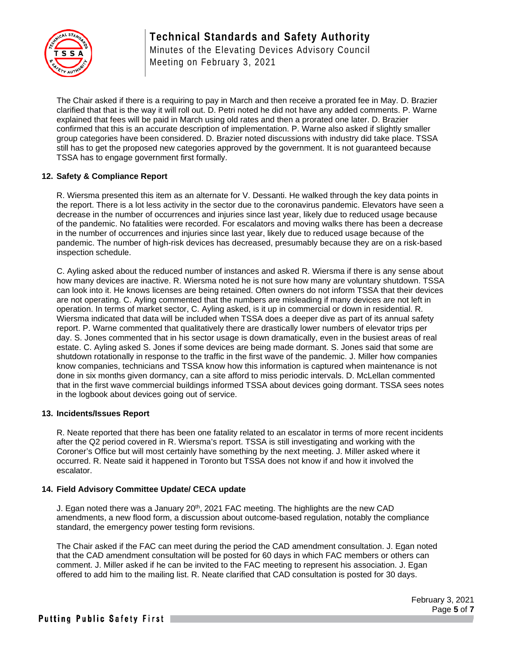

The Chair asked if there is a requiring to pay in March and then receive a prorated fee in May. D. Brazier clarified that that is the way it will roll out. D. Petri noted he did not have any added comments. P. Warne explained that fees will be paid in March using old rates and then a prorated one later. D. Brazier confirmed that this is an accurate description of implementation. P. Warne also asked if slightly smaller group categories have been considered. D. Brazier noted discussions with industry did take place. TSSA still has to get the proposed new categories approved by the government. It is not guaranteed because TSSA has to engage government first formally.

#### **12. Safety & Compliance Report**

R. Wiersma presented this item as an alternate for V. Dessanti. He walked through the key data points in the report. There is a lot less activity in the sector due to the coronavirus pandemic. Elevators have seen a decrease in the number of occurrences and injuries since last year, likely due to reduced usage because of the pandemic. No fatalities were recorded. For escalators and moving walks there has been a decrease in the number of occurrences and injuries since last year, likely due to reduced usage because of the pandemic. The number of high-risk devices has decreased, presumably because they are on a risk-based inspection schedule.

C. Ayling asked about the reduced number of instances and asked R. Wiersma if there is any sense about how many devices are inactive. R. Wiersma noted he is not sure how many are voluntary shutdown. TSSA can look into it. He knows licenses are being retained. Often owners do not inform TSSA that their devices are not operating. C. Ayling commented that the numbers are misleading if many devices are not left in operation. In terms of market sector, C. Ayling asked, is it up in commercial or down in residential. R. Wiersma indicated that data will be included when TSSA does a deeper dive as part of its annual safety report. P. Warne commented that qualitatively there are drastically lower numbers of elevator trips per day. S. Jones commented that in his sector usage is down dramatically, even in the busiest areas of real estate. C. Ayling asked S. Jones if some devices are being made dormant. S. Jones said that some are shutdown rotationally in response to the traffic in the first wave of the pandemic. J. Miller how companies know companies, technicians and TSSA know how this information is captured when maintenance is not done in six months given dormancy, can a site afford to miss periodic intervals. D. McLellan commented that in the first wave commercial buildings informed TSSA about devices going dormant. TSSA sees notes in the logbook about devices going out of service.

#### **13. Incidents/Issues Report**

R. Neate reported that there has been one fatality related to an escalator in terms of more recent incidents after the Q2 period covered in R. Wiersma's report. TSSA is still investigating and working with the Coroner's Office but will most certainly have something by the next meeting. J. Miller asked where it occurred. R. Neate said it happened in Toronto but TSSA does not know if and how it involved the escalator.

#### **14. Field Advisory Committee Update/ CECA update**

J. Egan noted there was a January  $20<sup>th</sup>$ , 2021 FAC meeting. The highlights are the new CAD amendments, a new flood form, a discussion about outcome-based regulation, notably the compliance standard, the emergency power testing form revisions.

The Chair asked if the FAC can meet during the period the CAD amendment consultation. J. Egan noted that the CAD amendment consultation will be posted for 60 days in which FAC members or others can comment. J. Miller asked if he can be invited to the FAC meeting to represent his association. J. Egan offered to add him to the mailing list. R. Neate clarified that CAD consultation is posted for 30 days.

> February 3, 2021 Page **5** of **7**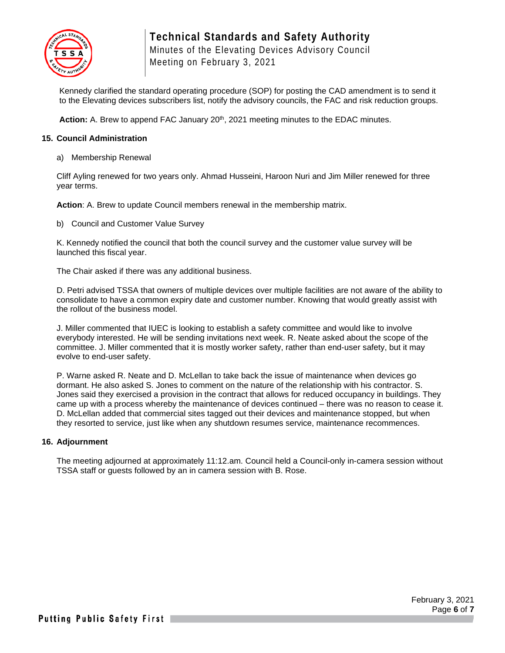

# **Technical Standards and Safety Authority**

Minutes of the Elevating Devices Advisory Council Meeting on February 3, 2021

Kennedy clarified the standard operating procedure (SOP) for posting the CAD amendment is to send it to the Elevating devices subscribers list, notify the advisory councils, the FAC and risk reduction groups.

Action: A. Brew to append FAC January 20<sup>th</sup>, 2021 meeting minutes to the EDAC minutes.

#### **15. Council Administration**

a) Membership Renewal

Cliff Ayling renewed for two years only. Ahmad Husseini, Haroon Nuri and Jim Miller renewed for three year terms.

**Action**: A. Brew to update Council members renewal in the membership matrix.

b) Council and Customer Value Survey

K. Kennedy notified the council that both the council survey and the customer value survey will be launched this fiscal year.

The Chair asked if there was any additional business.

D. Petri advised TSSA that owners of multiple devices over multiple facilities are not aware of the ability to consolidate to have a common expiry date and customer number. Knowing that would greatly assist with the rollout of the business model.

J. Miller commented that IUEC is looking to establish a safety committee and would like to involve everybody interested. He will be sending invitations next week. R. Neate asked about the scope of the committee. J. Miller commented that it is mostly worker safety, rather than end-user safety, but it may evolve to end-user safety.

P. Warne asked R. Neate and D. McLellan to take back the issue of maintenance when devices go dormant. He also asked S. Jones to comment on the nature of the relationship with his contractor. S. Jones said they exercised a provision in the contract that allows for reduced occupancy in buildings. They came up with a process whereby the maintenance of devices continued – there was no reason to cease it. D. McLellan added that commercial sites tagged out their devices and maintenance stopped, but when they resorted to service, just like when any shutdown resumes service, maintenance recommences.

#### **16. Adjournment**

The meeting adjourned at approximately 11:12.am. Council held a Council-only in-camera session without TSSA staff or guests followed by an in camera session with B. Rose.